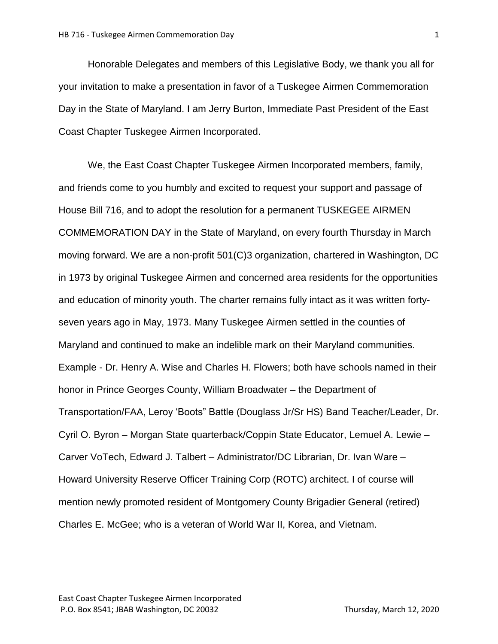Honorable Delegates and members of this Legislative Body, we thank you all for your invitation to make a presentation in favor of a Tuskegee Airmen Commemoration Day in the State of Maryland. I am Jerry Burton, Immediate Past President of the East Coast Chapter Tuskegee Airmen Incorporated.

We, the East Coast Chapter Tuskegee Airmen Incorporated members, family, and friends come to you humbly and excited to request your support and passage of House Bill 716, and to adopt the resolution for a permanent TUSKEGEE AIRMEN COMMEMORATION DAY in the State of Maryland, on every fourth Thursday in March moving forward. We are a non-profit 501(C)3 organization, chartered in Washington, DC in 1973 by original Tuskegee Airmen and concerned area residents for the opportunities and education of minority youth. The charter remains fully intact as it was written fortyseven years ago in May, 1973. Many Tuskegee Airmen settled in the counties of Maryland and continued to make an indelible mark on their Maryland communities. Example - Dr. Henry A. Wise and Charles H. Flowers; both have schools named in their honor in Prince Georges County, William Broadwater – the Department of Transportation/FAA, Leroy 'Boots" Battle (Douglass Jr/Sr HS) Band Teacher/Leader, Dr. Cyril O. Byron – Morgan State quarterback/Coppin State Educator, Lemuel A. Lewie – Carver VoTech, Edward J. Talbert – Administrator/DC Librarian, Dr. Ivan Ware – Howard University Reserve Officer Training Corp (ROTC) architect. I of course will mention newly promoted resident of Montgomery County Brigadier General (retired) Charles E. McGee; who is a veteran of World War II, Korea, and Vietnam.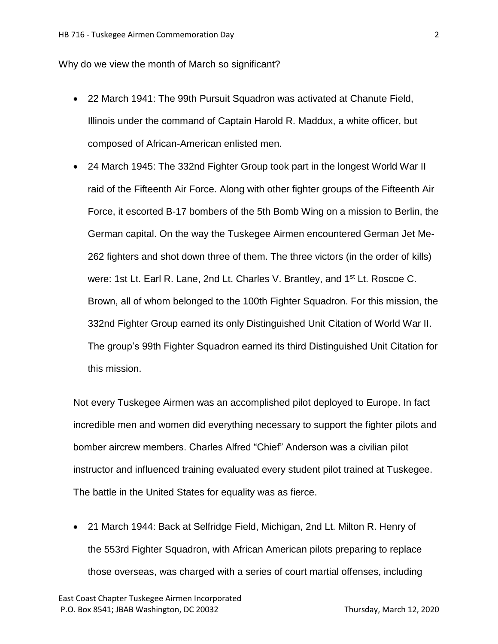Why do we view the month of March so significant?

- 22 March 1941: The 99th Pursuit Squadron was activated at Chanute Field, Illinois under the command of Captain Harold R. Maddux, a white officer, but composed of African-American enlisted men.
- 24 March 1945: The 332nd Fighter Group took part in the longest World War II raid of the Fifteenth Air Force. Along with other fighter groups of the Fifteenth Air Force, it escorted B-17 bombers of the 5th Bomb Wing on a mission to Berlin, the German capital. On the way the Tuskegee Airmen encountered German Jet Me-262 fighters and shot down three of them. The three victors (in the order of kills) were: 1st Lt. Earl R. Lane, 2nd Lt. Charles V. Brantley, and 1<sup>st</sup> Lt. Roscoe C. Brown, all of whom belonged to the 100th Fighter Squadron. For this mission, the 332nd Fighter Group earned its only Distinguished Unit Citation of World War II. The group's 99th Fighter Squadron earned its third Distinguished Unit Citation for this mission.

Not every Tuskegee Airmen was an accomplished pilot deployed to Europe. In fact incredible men and women did everything necessary to support the fighter pilots and bomber aircrew members. Charles Alfred "Chief" Anderson was a civilian pilot instructor and influenced training evaluated every student pilot trained at Tuskegee. The battle in the United States for equality was as fierce.

 21 March 1944: Back at Selfridge Field, Michigan, 2nd Lt. Milton R. Henry of the 553rd Fighter Squadron, with African American pilots preparing to replace those overseas, was charged with a series of court martial offenses, including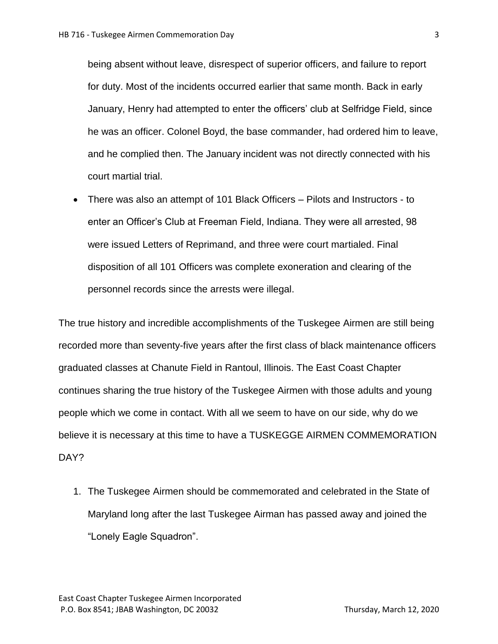being absent without leave, disrespect of superior officers, and failure to report for duty. Most of the incidents occurred earlier that same month. Back in early January, Henry had attempted to enter the officers' club at Selfridge Field, since he was an officer. Colonel Boyd, the base commander, had ordered him to leave, and he complied then. The January incident was not directly connected with his court martial trial.

 There was also an attempt of 101 Black Officers – Pilots and Instructors - to enter an Officer's Club at Freeman Field, Indiana. They were all arrested, 98 were issued Letters of Reprimand, and three were court martialed. Final disposition of all 101 Officers was complete exoneration and clearing of the personnel records since the arrests were illegal.

The true history and incredible accomplishments of the Tuskegee Airmen are still being recorded more than seventy-five years after the first class of black maintenance officers graduated classes at Chanute Field in Rantoul, Illinois. The East Coast Chapter continues sharing the true history of the Tuskegee Airmen with those adults and young people which we come in contact. With all we seem to have on our side, why do we believe it is necessary at this time to have a TUSKEGGE AIRMEN COMMEMORATION DAY?

1. The Tuskegee Airmen should be commemorated and celebrated in the State of Maryland long after the last Tuskegee Airman has passed away and joined the "Lonely Eagle Squadron".